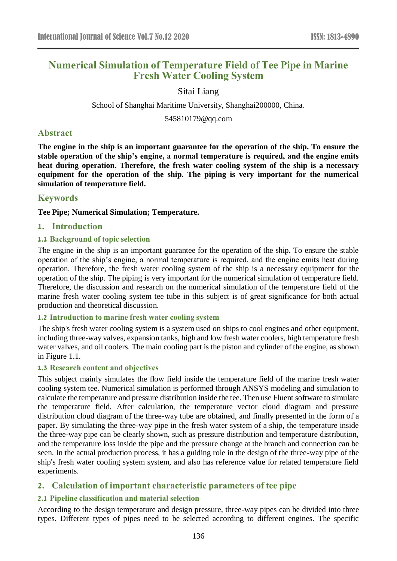# **Numerical Simulation of Temperature Field of Tee Pipe in Marine Fresh Water Cooling System**

#### Sitai Liang

School of Shanghai Maritime University, Shanghai200000, China.

545810179@qq.com

### **Abstract**

**The engine in the ship is an important guarantee for the operation of the ship. To ensure the stable operation of the ship's engine, a normal temperature is required, and the engine emits heat during operation. Therefore, the fresh water cooling system of the ship is a necessary equipment for the operation of the ship. The piping is very important for the numerical simulation of temperature field.**

### **Keywords**

**Tee Pipe; Numerical Simulation; Temperature.**

### **1. Introduction**

#### **1.1 Background of topic selection**

The engine in the ship is an important guarantee for the operation of the ship. To ensure the stable operation of the ship's engine, a normal temperature is required, and the engine emits heat during operation. Therefore, the fresh water cooling system of the ship is a necessary equipment for the operation of the ship. The piping is very important for the numerical simulation of temperature field. Therefore, the discussion and research on the numerical simulation of the temperature field of the marine fresh water cooling system tee tube in this subject is of great significance for both actual production and theoretical discussion.

#### **1.2 Introduction to marine fresh water cooling system**

The ship's fresh water cooling system is a system used on ships to cool engines and other equipment, including three-way valves, expansion tanks, high and low fresh water coolers, high temperature fresh water valves, and oil coolers. The main cooling part is the piston and cylinder of the engine, as shown in Figure 1.1.

#### **1.3 Research content and objectives**

This subject mainly simulates the flow field inside the temperature field of the marine fresh water cooling system tee. Numerical simulation is performed through ANSYS modeling and simulation to calculate the temperature and pressure distribution inside the tee. Then use Fluent software to simulate the temperature field. After calculation, the temperature vector cloud diagram and pressure distribution cloud diagram of the three-way tube are obtained, and finally presented in the form of a paper. By simulating the three-way pipe in the fresh water system of a ship, the temperature inside the three-way pipe can be clearly shown, such as pressure distribution and temperature distribution, and the temperature loss inside the pipe and the pressure change at the branch and connection can be seen. In the actual production process, it has a guiding role in the design of the three-way pipe of the ship's fresh water cooling system system, and also has reference value for related temperature field experiments.

### **2. Calculation of important characteristic parameters of tee pipe**

### **2.1 Pipeline classification and material selection**

According to the design temperature and design pressure, three-way pipes can be divided into three types. Different types of pipes need to be selected according to different engines. The specific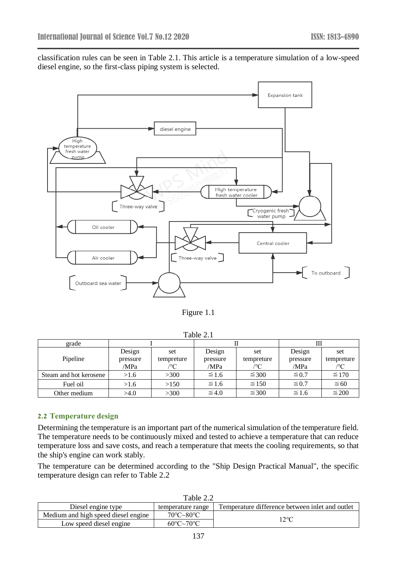classification rules can be seen in Table 2.1. This article is a temperature simulation of a low-speed diesel engine, so the first-class piping system is selected.



Figure 1.1

Table 2.1

| grade                  |          |              |            |            |            |            |
|------------------------|----------|--------------|------------|------------|------------|------------|
|                        | Design   | set          | Design     | set        | Design     | set        |
| Pipeline               | pressure | tempreture   | pressure   | tempreture | pressure   | tempreture |
|                        | /MPa     | $C^{\prime}$ | /MPa       | ′°C        | /MPa       | /°C        |
| Steam and hot kerosene | >1.6     | >300         | $\leq 1.6$ | $\leq 300$ | $\leq 0.7$ | $\leq 170$ |
| Fuel oil               | >1.6     | >150         | $\leq 1.6$ | $\leq 150$ | $\leq 0.7$ | $\leq 60$  |
| Other medium           | >4.0     | >300         | $\leq 4.0$ | $\leq 300$ | $\leq 1.6$ | $\leq 200$ |

#### **2.2 Temperature design**

Determining the temperature is an important part of the numerical simulation of the temperature field. The temperature needs to be continuously mixed and tested to achieve a temperature that can reduce temperature loss and save costs, and reach a temperature that meets the cooling requirements, so that the ship's engine can work stably.

The temperature can be determined according to the "Ship Design Practical Manual", the specific temperature design can refer to Table 2.2

| Table 2.2                           |                                       |                                                 |  |  |  |
|-------------------------------------|---------------------------------------|-------------------------------------------------|--|--|--|
| Diesel engine type                  | temperature range                     | Temperature difference between inlet and outlet |  |  |  |
| Medium and high speed diesel engine | $70^{\circ}$ C $\sim$ 80 $^{\circ}$ C | 12°C                                            |  |  |  |
| Low speed diesel engine             | $60^{\circ}$ C $\sim$ 70 $^{\circ}$ C |                                                 |  |  |  |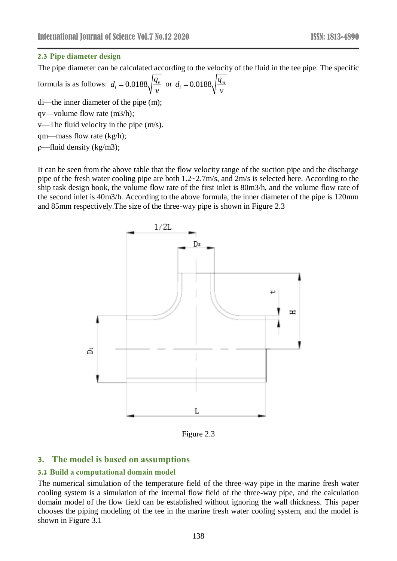#### **2.3 Pipe diameter design**

The pipe diameter can be calculated according to the velocity of the fluid in the tee pipe. The specific

formula is as follows:  $d_i = 0.0188 \sqrt{\frac{q_i}{r}}$  $d_{\cdot} = 0.0188, \frac{q}{q}$ *v*  $= 0.0188 \sqrt{\frac{q_y}{r}}$  or  $d_i = 0.0188 \sqrt{\frac{q_m}{r}}$  $d_{\cdot} = 0.0188, \frac{q}{q}$ *v* =

di—the inner diameter of the pipe (m);

qv—volume flow rate (m3/h);

v—The fluid velocity in the pipe (m/s).

qm—mass flow rate (kg/h);

ρ—fluid density (kg/m3);

It can be seen from the above table that the flow velocity range of the suction pipe and the discharge pipe of the fresh water cooling pipe are both  $1.2 \times 2.7$  m/s, and  $2$  m/s is selected here. According to the ship task design book, the volume flow rate of the first inlet is 80m3/h, and the volume flow rate of the second inlet is 40m3/h. According to the above formula, the inner diameter of the pipe is 120mm and 85mm respectively.The size of the three-way pipe is shown in Figure 2.3



Figure 2.3

# **3. The model is based on assumptions**

### **3.1 Build a computational domain model**

The numerical simulation of the temperature field of the three-way pipe in the marine fresh water cooling system is a simulation of the internal flow field of the three-way pipe, and the calculation domain model of the flow field can be established without ignoring the wall thickness. This paper chooses the piping modeling of the tee in the marine fresh water cooling system, and the model is shown in Figure 3.1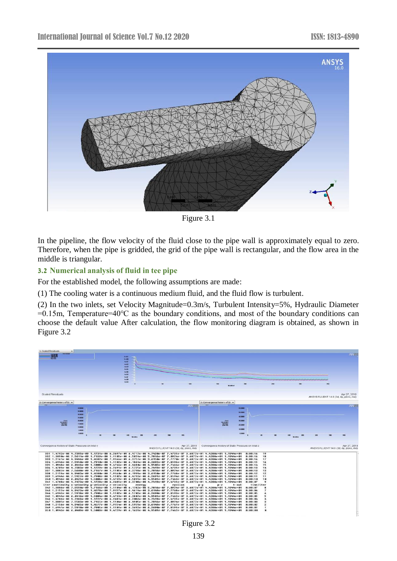

Figure 3.1

In the pipeline, the flow velocity of the fluid close to the pipe wall is approximately equal to zero. Therefore, when the pipe is gridded, the grid of the pipe wall is rectangular, and the flow area in the middle is triangular.

#### **3.2 Numerical analysis of fluid in tee pipe**

For the established model, the following assumptions are made:

(1) The cooling water is a continuous medium fluid, and the fluid flow is turbulent.

(2) In the two inlets, set Velocity Magnitude=0.3m/s, Turbulent Intensity=5%, Hydraulic Diameter =0.15m, Temperature=40℃ as the boundary conditions, and most of the boundary conditions can choose the default value After calculation, the flow monitoring diagram is obtained, as shown in Figure 3.2

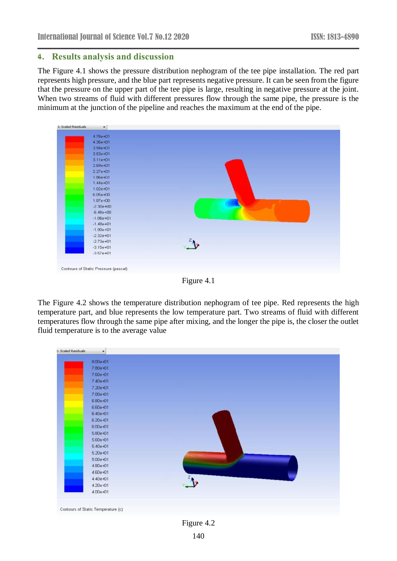#### **4. Results analysis and discussion**

The Figure 4.1 shows the pressure distribution nephogram of the tee pipe installation. The red part represents high pressure, and the blue part represents negative pressure. It can be seen from the figure that the pressure on the upper part of the tee pipe is large, resulting in negative pressure at the joint. When two streams of fluid with different pressures flow through the same pipe, the pressure is the minimum at the junction of the pipeline and reaches the maximum at the end of the pipe.

| 4.78e+01      |                      |
|---------------|----------------------|
| 4.36e+01      |                      |
| $3.94e + 01$  |                      |
| $3.53e + 01$  |                      |
| 3.11e+01      |                      |
| $2.69e + 01$  |                      |
| $2.27e + 01$  |                      |
| 1.86e+01      |                      |
| $1.44e + 01$  |                      |
| 1.02e+01      |                      |
| $6.05e + 00$  |                      |
| $1.87e + 00$  |                      |
| $-2.30e + 00$ |                      |
| $-6.48e + 00$ |                      |
| $-1.06e + 01$ |                      |
| $-1.48e + 01$ |                      |
| $-1.90e + 01$ |                      |
| $-2.32e + 01$ |                      |
| $-2.73e + 01$ | $\sqrt{\frac{2}{x}}$ |
| $-3.15e + 01$ |                      |
| $-3.57e + 01$ |                      |
|               |                      |

Figure 4.1

The Figure 4.2 shows the temperature distribution nephogram of tee pipe. Red represents the high temperature part, and blue represents the low temperature part. Two streams of fluid with different temperatures flow through the same pipe after mixing, and the longer the pipe is, the closer the outlet fluid temperature is to the average value

| <b>1: Scaled Residuals</b> | $\cdot$                            |            |
|----------------------------|------------------------------------|------------|
|                            | $8.00e + 01$                       |            |
|                            | 7.80e+01                           |            |
|                            | 7.60e+01                           |            |
|                            | 7.40e+01                           |            |
|                            | 7.20e+01                           |            |
|                            | 7.00e+01                           |            |
|                            | $6.80e + 01$                       |            |
|                            | $6.60e + 01$                       |            |
|                            | $6.40e + 01$                       |            |
|                            | 6.20e+01                           |            |
|                            | 6.00e+01                           |            |
|                            | $5.80e + 01$                       |            |
|                            | 5.60e+01                           |            |
|                            | $5.40e + 01$                       |            |
|                            | $5.20e + 01$                       |            |
|                            | $5.00e + 01$                       |            |
|                            | 4.80e+01                           |            |
|                            | 4.60e+01                           |            |
|                            | 4.40e+01                           |            |
|                            | 4.20e+01                           |            |
|                            | 4.00e+01                           |            |
|                            |                                    |            |
|                            |                                    |            |
|                            | Contours of Static Temperature (c) |            |
|                            |                                    |            |
|                            |                                    | Figure 4.2 |